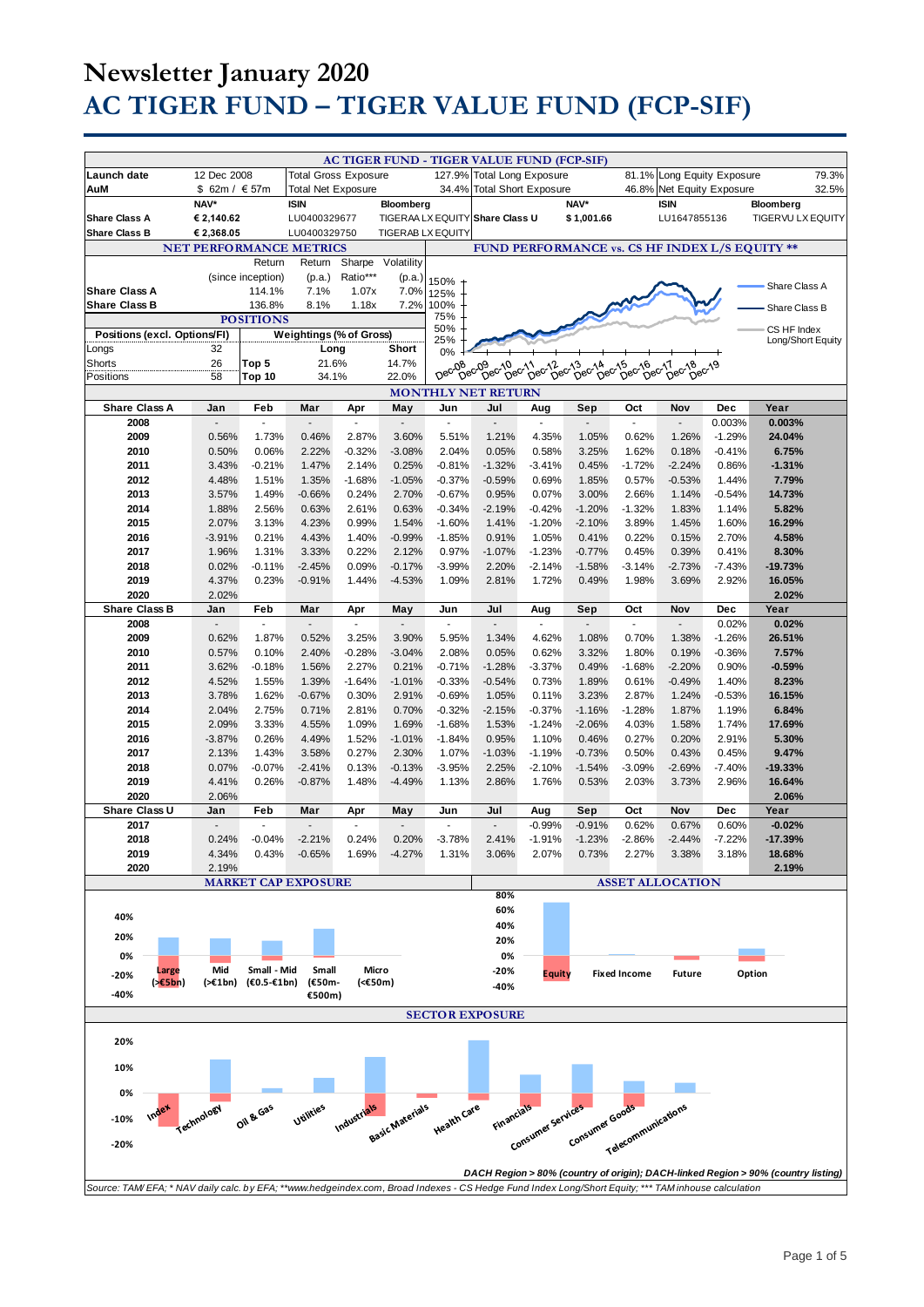# **Newsletter January 2020 AC TIGER FUND – TIGER VALUE FUND (FCP-SIF)**

|                                                                                                                                                     |                                |                             |                             |                    |                          |                          | AC TIGER FUND - TIGER VALUE FUND (FCP-SIF) |                                     |                            |                     |                                                |                   |                                                                                   |
|-----------------------------------------------------------------------------------------------------------------------------------------------------|--------------------------------|-----------------------------|-----------------------------|--------------------|--------------------------|--------------------------|--------------------------------------------|-------------------------------------|----------------------------|---------------------|------------------------------------------------|-------------------|-----------------------------------------------------------------------------------|
| Launch date                                                                                                                                         | 12 Dec 2008                    |                             | <b>Total Gross Exposure</b> |                    |                          |                          | 127.9% Total Long Exposure                 |                                     |                            |                     | 81.1% Long Equity Exposure                     |                   | 79.3%                                                                             |
| AuM                                                                                                                                                 | \$ 62m / € 57m                 |                             | <b>Total Net Exposure</b>   |                    |                          | 34.4%                    | <b>Total Short Exposure</b>                |                                     |                            | 46.8%               | Net Equity Exposure                            |                   | 32.5%                                                                             |
|                                                                                                                                                     | NAV*                           |                             | <b>ISIN</b>                 |                    | Bloomberg                |                          |                                            |                                     | NAV*                       |                     | <b>ISIN</b>                                    |                   | Bloomberg                                                                         |
| <b>Share Class A</b>                                                                                                                                | € 2,140.62                     |                             | LU0400329677                |                    |                          |                          | TIGERAA LX EQUITY Share Class U            |                                     | \$1,001.66                 |                     | LU1647855136                                   |                   | <b>TIGERVU LX EQUITY</b>                                                          |
| <b>Share Class B</b>                                                                                                                                | € 2,368.05                     |                             | LU0400329750                |                    | <b>TIGERAB LX EQUITY</b> |                          |                                            |                                     |                            |                     |                                                |                   |                                                                                   |
|                                                                                                                                                     | <b>NET PERFORMANCE METRICS</b> |                             |                             |                    |                          |                          |                                            |                                     |                            |                     | FUND PERFORMANCE vs. CS HF INDEX L/S EQUITY ** |                   |                                                                                   |
|                                                                                                                                                     |                                | Return<br>(since inception) | Return<br>(p.a.)            | Sharpe<br>Ratio*** | Volatility               |                          |                                            |                                     |                            |                     |                                                |                   |                                                                                   |
| <b>Share Class A</b>                                                                                                                                |                                | 114.1%                      | 7.1%                        | 1.07x              | (p.a.)<br>7.0%           | 150%<br>125%             |                                            |                                     |                            |                     |                                                |                   | Share Class A                                                                     |
| <b>Share Class B</b>                                                                                                                                |                                | 136.8%                      | 8.1%                        | 1.18x              | 7.2%                     | 100%                     |                                            |                                     |                            |                     |                                                |                   | Share Class B                                                                     |
|                                                                                                                                                     |                                | <b>POSITIONS</b>            |                             |                    |                          | 75%                      |                                            |                                     |                            |                     |                                                |                   |                                                                                   |
| Positions (excl. Options/FI)                                                                                                                        |                                |                             | Weightings (% of Gross)     |                    |                          | 50%<br>25%               |                                            |                                     |                            |                     |                                                |                   | CS HF Index<br>Long/Short Equity                                                  |
| Longs                                                                                                                                               | 32                             |                             | Long                        |                    | Short                    | 0%                       |                                            |                                     |                            |                     |                                                |                   |                                                                                   |
| Shorts<br>Positions                                                                                                                                 | 26<br>58                       | Top 5<br>Top 10             | 21.6%                       |                    | 14.7%<br>22.0%           | Dec-08                   | Dec <sub>09</sub>                          | 09 06011 06013<br>Dec Dec Dec Dec D | 13 cc14 cc15<br>Dec-Dec-Di | Dec-16              | bec <sup>11</sup><br>Dec-18<br>Dec-19          |                   |                                                                                   |
| 34.1%<br><b>MONTHLY NET RETURN</b>                                                                                                                  |                                |                             |                             |                    |                          |                          |                                            |                                     |                            |                     |                                                |                   |                                                                                   |
| <b>Share Class A</b>                                                                                                                                | Jan                            | Feb                         | Mar                         | Apr                | May                      | Jun                      | Jul                                        | Aug                                 | Sep                        | Oct                 | Nov                                            | Dec               | Year                                                                              |
| 2008                                                                                                                                                |                                | $\mathbf{r}$                |                             |                    |                          | ÷,                       | $\overline{\phantom{a}}$                   |                                     |                            |                     | ÷.                                             | 0.003%            | 0.003%                                                                            |
| 2009                                                                                                                                                | 0.56%                          | 1.73%                       | 0.46%                       | 2.87%              | 3.60%                    | 5.51%                    | 1.21%                                      | 4.35%                               | 1.05%                      | 0.62%               | 1.26%                                          | $-1.29%$          | 24.04%                                                                            |
| 2010                                                                                                                                                | 0.50%                          | 0.06%                       | 2.22%                       | $-0.32%$           | $-3.08%$                 | 2.04%                    | 0.05%                                      | 0.58%                               | 3.25%                      | 1.62%               | 0.18%                                          | $-0.41%$          | 6.75%                                                                             |
| 2011                                                                                                                                                | 3.43%                          | $-0.21%$                    | 1.47%                       | 2.14%              | 0.25%                    | $-0.81%$                 | $-1.32%$                                   | $-3.41%$                            | 0.45%                      | $-1.72%$            | $-2.24%$                                       | 0.86%             | $-1.31%$                                                                          |
| 2012<br>2013                                                                                                                                        | 4.48%<br>3.57%                 | 1.51%<br>1.49%              | 1.35%<br>$-0.66%$           | $-1.68%$<br>0.24%  | $-1.05%$<br>2.70%        | $-0.37%$<br>$-0.67%$     | $-0.59%$<br>0.95%                          | 0.69%<br>0.07%                      | 1.85%                      | 0.57%<br>2.66%      | $-0.53%$<br>1.14%                              | 1.44%<br>$-0.54%$ | 7.79%<br>14.73%                                                                   |
| 2014                                                                                                                                                | 1.88%                          | 2.56%                       | 0.63%                       | 2.61%              | 0.63%                    | $-0.34%$                 | $-2.19%$                                   | $-0.42%$                            | 3.00%<br>$-1.20%$          | $-1.32%$            | 1.83%                                          | 1.14%             | 5.82%                                                                             |
| 2015                                                                                                                                                | 2.07%                          | 3.13%                       | 4.23%                       | 0.99%              | 1.54%                    | $-1.60%$                 | 1.41%                                      | $-1.20%$                            | $-2.10%$                   | 3.89%               | 1.45%                                          | 1.60%             | 16.29%                                                                            |
| 2016                                                                                                                                                | $-3.91%$                       | 0.21%                       | 4.43%                       | 1.40%              | $-0.99%$                 | $-1.85%$                 | 0.91%                                      | 1.05%                               | 0.41%                      | 0.22%               | 0.15%                                          | 2.70%             | 4.58%                                                                             |
| 2017                                                                                                                                                | 1.96%                          | 1.31%                       | 3.33%                       | 0.22%              | 2.12%                    | 0.97%                    | $-1.07%$                                   | $-1.23%$                            | $-0.77%$                   | 0.45%               | 0.39%                                          | 0.41%             | 8.30%                                                                             |
| 2018                                                                                                                                                | 0.02%                          | $-0.11%$                    | $-2.45%$                    | 0.09%              | $-0.17%$                 | $-3.99%$                 | 2.20%                                      | $-2.14%$                            | $-1.58%$                   | $-3.14%$            | $-2.73%$                                       | $-7.43%$          | $-19.73%$                                                                         |
| 2019                                                                                                                                                | 4.37%                          | 0.23%                       | $-0.91%$                    | 1.44%              | $-4.53%$                 | 1.09%                    | 2.81%                                      | 1.72%                               | 0.49%                      | 1.98%               | 3.69%                                          | 2.92%             | 16.05%                                                                            |
| 2020<br><b>Share Class B</b>                                                                                                                        | 2.02%<br>Jan                   | Feb                         | Mar                         |                    | May                      | Jun                      | Jul                                        |                                     | Sep                        | Oct                 | Nov                                            | Dec               | 2.02%<br>Year                                                                     |
| 2008                                                                                                                                                | $\overline{a}$                 | $\Box$                      | $\frac{1}{2}$               | Apr<br>ä,          | $\frac{1}{2}$            | $\overline{\phantom{a}}$ | $\Box$                                     | Aug<br>$\overline{\phantom{a}}$     | $\blacksquare$             | $\overline{a}$      | $\overline{a}$                                 | 0.02%             | 0.02%                                                                             |
| 2009                                                                                                                                                | 0.62%                          | 1.87%                       | 0.52%                       | 3.25%              | 3.90%                    | 5.95%                    | 1.34%                                      | 4.62%                               | 1.08%                      | 0.70%               | 1.38%                                          | $-1.26%$          | 26.51%                                                                            |
| 2010                                                                                                                                                | 0.57%                          | 0.10%                       | 2.40%                       | $-0.28%$           | $-3.04%$                 | 2.08%                    | 0.05%                                      | 0.62%                               | 3.32%                      | 1.80%               | 0.19%                                          | $-0.36%$          | 7.57%                                                                             |
| 2011                                                                                                                                                | 3.62%                          | $-0.18%$                    | 1.56%                       | 2.27%              | 0.21%                    | $-0.71%$                 | $-1.28%$                                   | $-3.37%$                            | 0.49%                      | $-1.68%$            | $-2.20%$                                       | 0.90%             | $-0.59%$                                                                          |
| 2012                                                                                                                                                | 4.52%                          | 1.55%                       | 1.39%                       | $-1.64%$           | $-1.01%$                 | $-0.33%$                 | $-0.54%$                                   | 0.73%                               | 1.89%                      | 0.61%               | $-0.49%$                                       | 1.40%             | 8.23%                                                                             |
| 2013                                                                                                                                                | 3.78%                          | 1.62%                       | $-0.67%$                    | 0.30%              | 2.91%                    | $-0.69%$                 | 1.05%                                      | 0.11%                               | 3.23%                      | 2.87%               | 1.24%                                          | $-0.53%$          | 16.15%                                                                            |
| 2014<br>2015                                                                                                                                        | 2.04%<br>2.09%                 | 2.75%<br>3.33%              | 0.71%<br>4.55%              | 2.81%<br>1.09%     | 0.70%<br>1.69%           | $-0.32%$<br>$-1.68%$     | $-2.15%$<br>1.53%                          | $-0.37%$<br>$-1.24%$                | $-1.16%$<br>$-2.06%$       | $-1.28%$<br>4.03%   | 1.87%<br>1.58%                                 | 1.19%<br>1.74%    | 6.84%<br>17.69%                                                                   |
| 2016                                                                                                                                                | $-3.87%$                       | 0.26%                       | 4.49%                       | 1.52%              | $-1.01%$                 | $-1.84%$                 | 0.95%                                      | 1.10%                               | 0.46%                      | 0.27%               | 0.20%                                          | 2.91%             | 5.30%                                                                             |
| 2017                                                                                                                                                | 2.13%                          | 1.43%                       | 3.58%                       | 0.27%              | 2.30%                    | 1.07%                    | $-1.03%$                                   | $-1.19%$                            | $-0.73%$                   | 0.50%               | 0.43%                                          | 0.45%             | 9.47%                                                                             |
| 2018                                                                                                                                                | 0.07%                          | $-0.07%$                    | $-2.41%$                    | 0.13%              | $-0.13%$                 | $-3.95%$                 | 2.25%                                      | $-2.10%$                            | $-1.54%$                   | $-3.09%$            | $-2.69%$                                       | $-7.40%$          | $-19.33%$                                                                         |
| 2019                                                                                                                                                | 4.41%                          | 0.26%                       | $-0.87%$                    | 1.48%              | $-4.49%$                 | 1.13%                    | 2.86%                                      | 1.76%                               | 0.53%                      | 2.03%               | 3.73%                                          | 2.96%             | 16.64%                                                                            |
| 2020                                                                                                                                                | 2.06%                          |                             |                             |                    |                          |                          |                                            |                                     |                            |                     |                                                |                   | 2.06%                                                                             |
| Share Class U<br>2017                                                                                                                               | Jan<br>$\sim$                  | Feb<br>$\sim$               | Mar<br>$\overline{a}$       | Apr<br>×           | May                      | Jun<br>$\sim$            | Jul<br>$\overline{a}$                      | Aug<br>$-0.99%$                     | Sep<br>$-0.91%$            | Oct<br>0.62%        | Nov<br>0.67%                                   | Dec<br>0.60%      | Year<br>$-0.02%$                                                                  |
| 2018                                                                                                                                                | 0.24%                          | $-0.04%$                    | $-2.21%$                    | 0.24%              | 0.20%                    | $-3.78%$                 | 2.41%                                      | $-1.91%$                            | $-1.23%$                   | $-2.86%$            | $-2.44%$                                       | $-7.22%$          | $-17.39%$                                                                         |
| 2019                                                                                                                                                | 4.34%                          | 0.43%                       | $-0.65%$                    | 1.69%              | $-4.27%$                 | 1.31%                    | 3.06%                                      | 2.07%                               | 0.73%                      | 2.27%               | 3.38%                                          | 3.18%             | 18.68%                                                                            |
| 2020                                                                                                                                                | 2.19%                          |                             |                             |                    |                          |                          |                                            |                                     |                            |                     |                                                |                   | 2.19%                                                                             |
|                                                                                                                                                     |                                |                             | <b>MARKET CAP EXPOSURE</b>  |                    |                          |                          |                                            |                                     |                            |                     | <b>ASSET ALLOCATION</b>                        |                   |                                                                                   |
|                                                                                                                                                     |                                |                             |                             |                    |                          |                          | 80%<br>60%                                 |                                     |                            |                     |                                                |                   |                                                                                   |
| 40%                                                                                                                                                 |                                |                             |                             |                    |                          |                          | 40%                                        |                                     |                            |                     |                                                |                   |                                                                                   |
| 20%                                                                                                                                                 |                                |                             |                             |                    |                          |                          | 20%                                        |                                     |                            |                     |                                                |                   |                                                                                   |
| 0%                                                                                                                                                  |                                |                             |                             |                    |                          |                          | 0%                                         |                                     |                            |                     |                                                |                   |                                                                                   |
| Large<br>$-20%$                                                                                                                                     | Mid                            | Small - Mid                 | Small                       | Micro              |                          |                          | $-20%$                                     | Equity                              |                            | <b>Fixed Income</b> | <b>Future</b>                                  |                   | Option                                                                            |
| $(*E5bn)$<br>-40%                                                                                                                                   | (>€1bn)                        | $(60.5 - 61bn)$             | (€50m-                      | (<€50m)            |                          |                          | -40%                                       |                                     |                            |                     |                                                |                   |                                                                                   |
|                                                                                                                                                     |                                |                             | €500m)                      |                    |                          |                          |                                            |                                     |                            |                     |                                                |                   |                                                                                   |
|                                                                                                                                                     |                                |                             |                             |                    |                          |                          | <b>SECTOR EXPOSURE</b>                     |                                     |                            |                     |                                                |                   |                                                                                   |
| 20%                                                                                                                                                 |                                |                             |                             |                    |                          |                          |                                            |                                     |                            |                     |                                                |                   |                                                                                   |
|                                                                                                                                                     |                                |                             |                             |                    |                          |                          |                                            |                                     |                            |                     |                                                |                   |                                                                                   |
| 10%                                                                                                                                                 |                                |                             |                             |                    |                          |                          |                                            |                                     |                            |                     |                                                |                   |                                                                                   |
| 0%                                                                                                                                                  |                                |                             |                             |                    |                          |                          |                                            |                                     |                            |                     |                                                |                   |                                                                                   |
| Index                                                                                                                                               |                                |                             | Utilities                   |                    |                          |                          |                                            |                                     |                            |                     |                                                |                   |                                                                                   |
| $-10%$                                                                                                                                              | Technology                     | Oil & Gas                   |                             | Industrials        | Basic Materials          | Health Care              | Financials                                 | Consumer services                   | Consumer Goods             | Telecommunications  |                                                |                   |                                                                                   |
| $-20%$                                                                                                                                              |                                |                             |                             |                    |                          |                          |                                            |                                     |                            |                     |                                                |                   |                                                                                   |
|                                                                                                                                                     |                                |                             |                             |                    |                          |                          |                                            |                                     |                            |                     |                                                |                   |                                                                                   |
|                                                                                                                                                     |                                |                             |                             |                    |                          |                          |                                            |                                     |                            |                     |                                                |                   | DACH Region > 80% (country of origin); DACH-linked Region > 90% (country listing) |
| Source: TAM/EFA; * NAV daily calc. by EFA; **www.hedgeindex.com, Broad Indexes - CS Hedge Fund Index Long/Short Equity; *** TAM inhouse calculation |                                |                             |                             |                    |                          |                          |                                            |                                     |                            |                     |                                                |                   |                                                                                   |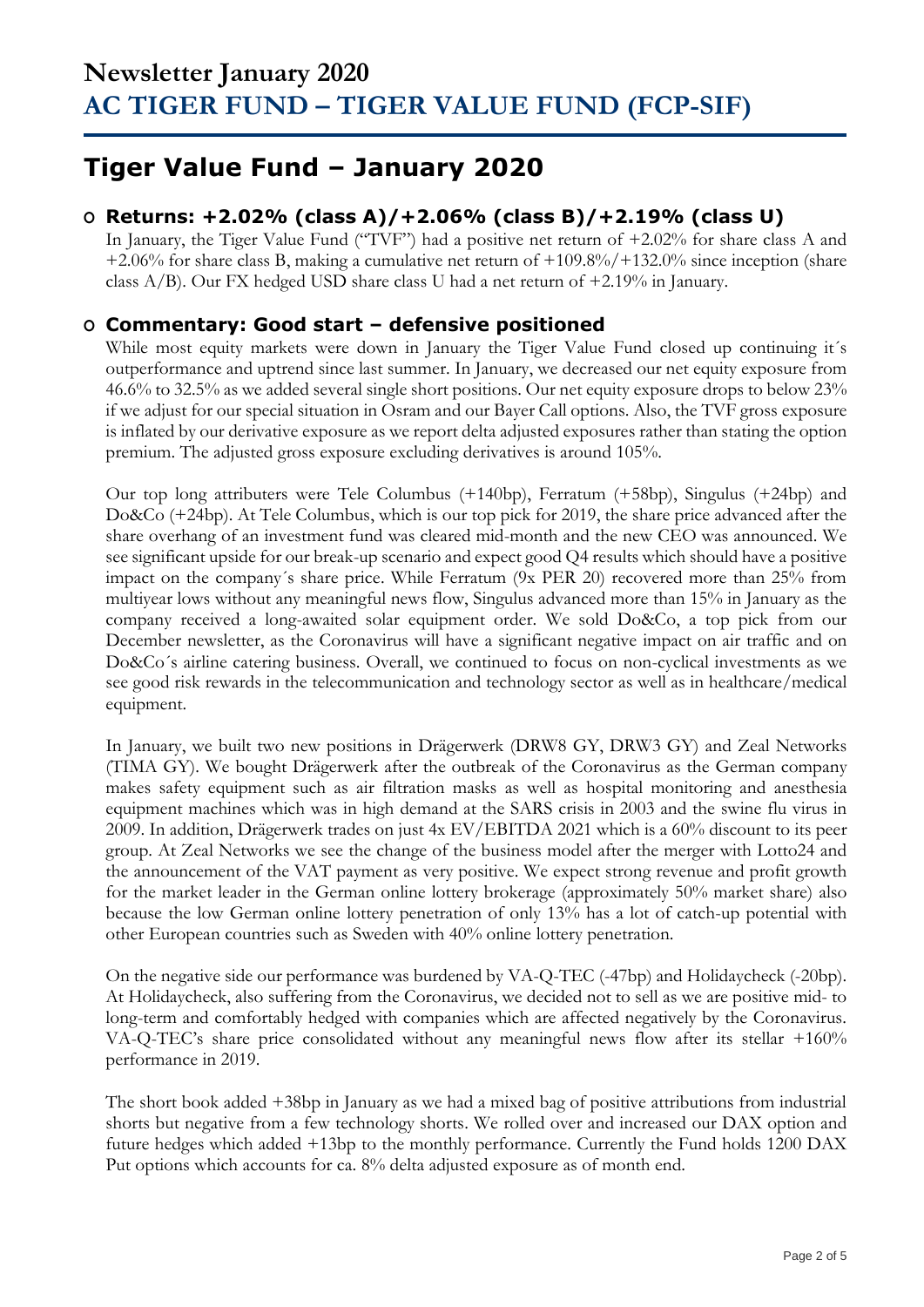## **Tiger Value Fund – January 2020**

## **O Returns: +2.02% (class A)/+2.06% (class B)/+2.19% (class U)**

In January, the Tiger Value Fund ("TVF") had a positive net return of +2.02% for share class A and +2.06% for share class B, making a cumulative net return of +109.8%/+132.0% since inception (share class  $A/B$ ). Our FX hedged USD share class U had a net return of  $+2.19\%$  in January.

### **O Commentary: Good start – defensive positioned**

While most equity markets were down in January the Tiger Value Fund closed up continuing it's outperformance and uptrend since last summer. In January, we decreased our net equity exposure from 46.6% to 32.5% as we added several single short positions. Our net equity exposure drops to below 23% if we adjust for our special situation in Osram and our Bayer Call options. Also, the TVF gross exposure is inflated by our derivative exposure as we report delta adjusted exposures rather than stating the option premium. The adjusted gross exposure excluding derivatives is around 105%.

Our top long attributers were Tele Columbus (+140bp), Ferratum (+58bp), Singulus (+24bp) and Do&Co (+24bp). At Tele Columbus, which is our top pick for 2019, the share price advanced after the share overhang of an investment fund was cleared mid-month and the new CEO was announced. We see significant upside for our break-up scenario and expect good Q4 results which should have a positive impact on the company´s share price. While Ferratum (9x PER 20) recovered more than 25% from multiyear lows without any meaningful news flow, Singulus advanced more than 15% in January as the company received a long-awaited solar equipment order. We sold Do&Co, a top pick from our December newsletter, as the Coronavirus will have a significant negative impact on air traffic and on Do&Co´s airline catering business. Overall, we continued to focus on non-cyclical investments as we see good risk rewards in the telecommunication and technology sector as well as in healthcare/medical equipment.

In January, we built two new positions in Drägerwerk (DRW8 GY, DRW3 GY) and Zeal Networks (TIMA GY). We bought Drägerwerk after the outbreak of the Coronavirus as the German company makes safety equipment such as air filtration masks as well as hospital monitoring and anesthesia equipment machines which was in high demand at the SARS crisis in 2003 and the swine flu virus in 2009. In addition, Drägerwerk trades on just 4x EV/EBITDA 2021 which is a 60% discount to its peer group. At Zeal Networks we see the change of the business model after the merger with Lotto24 and the announcement of the VAT payment as very positive. We expect strong revenue and profit growth for the market leader in the German online lottery brokerage (approximately 50% market share) also because the low German online lottery penetration of only 13% has a lot of catch-up potential with other European countries such as Sweden with 40% online lottery penetration.

On the negative side our performance was burdened by VA-Q-TEC (-47bp) and Holidaycheck (-20bp). At Holidaycheck, also suffering from the Coronavirus, we decided not to sell as we are positive mid- to long-term and comfortably hedged with companies which are affected negatively by the Coronavirus. VA-Q-TEC's share price consolidated without any meaningful news flow after its stellar +160% performance in 2019.

The short book added +38bp in January as we had a mixed bag of positive attributions from industrial shorts but negative from a few technology shorts. We rolled over and increased our DAX option and future hedges which added +13bp to the monthly performance. Currently the Fund holds 1200 DAX Put options which accounts for ca. 8% delta adjusted exposure as of month end.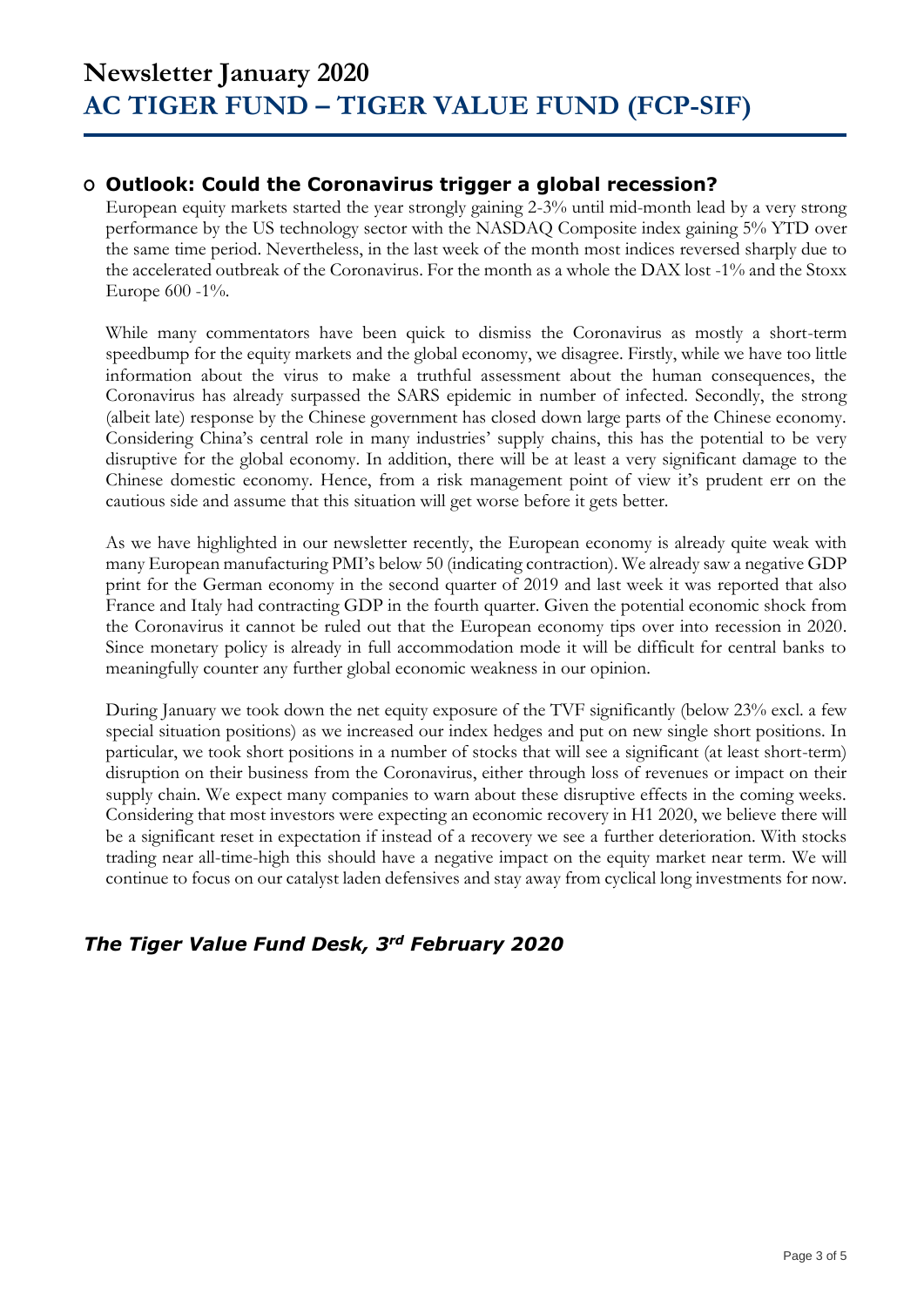### **O Outlook: Could the Coronavirus trigger a global recession?**

European equity markets started the year strongly gaining 2-3% until mid-month lead by a very strong performance by the US technology sector with the NASDAQ Composite index gaining 5% YTD over the same time period. Nevertheless, in the last week of the month most indices reversed sharply due to the accelerated outbreak of the Coronavirus. For the month as a whole the DAX lost -1% and the Stoxx Europe 600 -1%.

While many commentators have been quick to dismiss the Coronavirus as mostly a short-term speedbump for the equity markets and the global economy, we disagree. Firstly, while we have too little information about the virus to make a truthful assessment about the human consequences, the Coronavirus has already surpassed the SARS epidemic in number of infected. Secondly, the strong (albeit late) response by the Chinese government has closed down large parts of the Chinese economy. Considering China's central role in many industries' supply chains, this has the potential to be very disruptive for the global economy. In addition, there will be at least a very significant damage to the Chinese domestic economy. Hence, from a risk management point of view it's prudent err on the cautious side and assume that this situation will get worse before it gets better.

As we have highlighted in our newsletter recently, the European economy is already quite weak with many European manufacturing PMI's below 50 (indicating contraction). We already saw a negative GDP print for the German economy in the second quarter of 2019 and last week it was reported that also France and Italy had contracting GDP in the fourth quarter. Given the potential economic shock from the Coronavirus it cannot be ruled out that the European economy tips over into recession in 2020. Since monetary policy is already in full accommodation mode it will be difficult for central banks to meaningfully counter any further global economic weakness in our opinion.

During January we took down the net equity exposure of the TVF significantly (below 23% excl. a few special situation positions) as we increased our index hedges and put on new single short positions. In particular, we took short positions in a number of stocks that will see a significant (at least short-term) disruption on their business from the Coronavirus, either through loss of revenues or impact on their supply chain. We expect many companies to warn about these disruptive effects in the coming weeks. Considering that most investors were expecting an economic recovery in H1 2020, we believe there will be a significant reset in expectation if instead of a recovery we see a further deterioration. With stocks trading near all-time-high this should have a negative impact on the equity market near term. We will continue to focus on our catalyst laden defensives and stay away from cyclical long investments for now.

## *The Tiger Value Fund Desk, 3rd February 2020*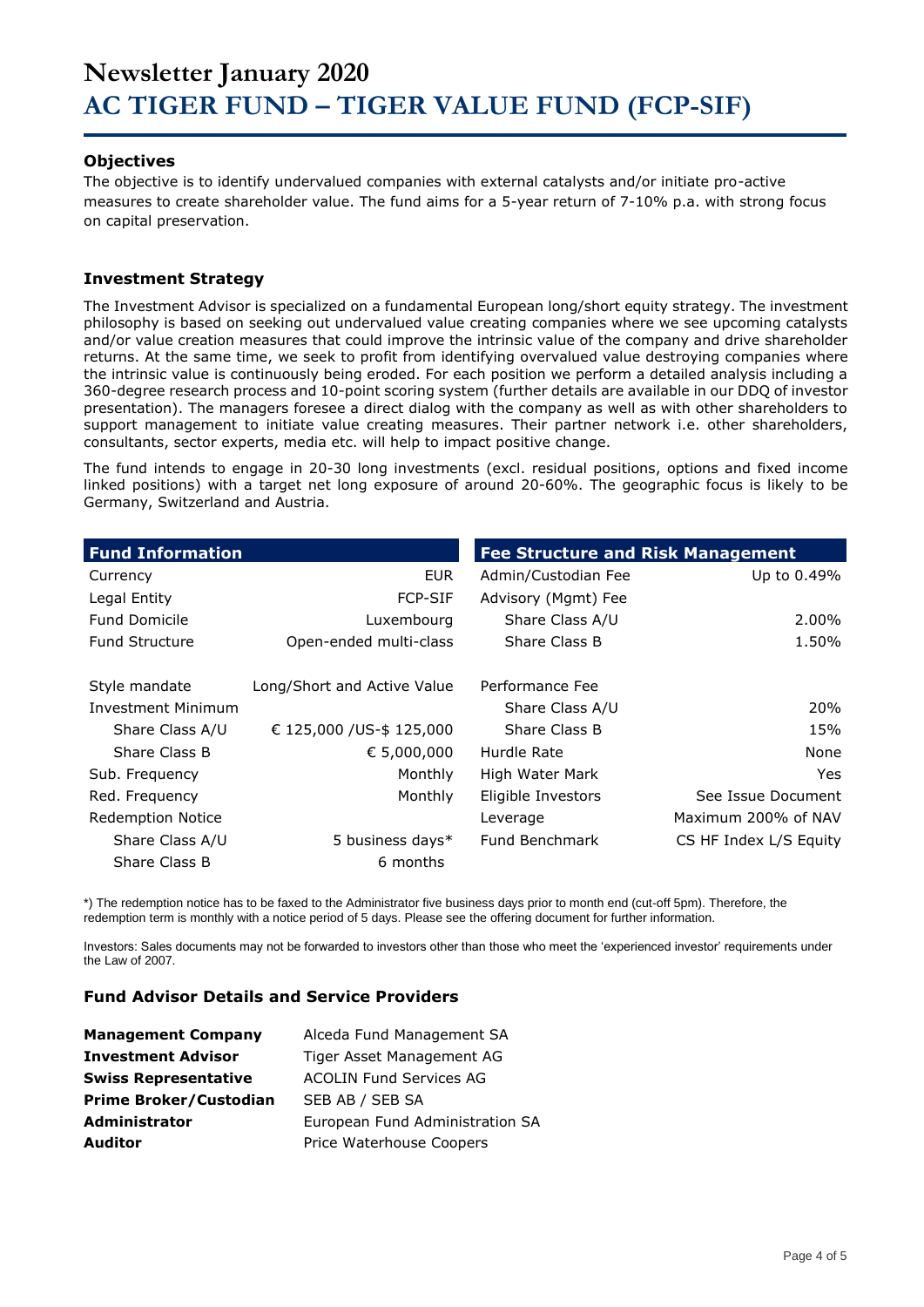## **Newsletter January 2020 AC TIGER FUND – TIGER VALUE FUND (FCP-SIF)**

#### **Objectives**

The objective is to identify undervalued companies with external catalysts and/or initiate pro-active measures to create shareholder value. The fund aims for a 5-year return of 7-10% p.a. with strong focus on capital preservation.

#### **Investment Strategy**

The Investment Advisor is specialized on a fundamental European long/short equity strategy. The investment philosophy is based on seeking out undervalued value creating companies where we see upcoming catalysts and/or value creation measures that could improve the intrinsic value of the company and drive shareholder returns. At the same time, we seek to profit from identifying overvalued value destroying companies where the intrinsic value is continuously being eroded. For each position we perform a detailed analysis including a 360-degree research process and 10-point scoring system (further details are available in our DDQ of investor presentation). The managers foresee a direct dialog with the company as well as with other shareholders to support management to initiate value creating measures. Their partner network i.e. other shareholders, consultants, sector experts, media etc. will help to impact positive change.

The fund intends to engage in 20-30 long investments (excl. residual positions, options and fixed income linked positions) with a target net long exposure of around 20-60%. The geographic focus is likely to be Germany, Switzerland and Austria.

| <b>Fund Information</b>   |                             | <b>Fee Structure and Risk Management</b> |                        |
|---------------------------|-----------------------------|------------------------------------------|------------------------|
| Currency                  | <b>EUR</b>                  | Admin/Custodian Fee                      | Up to 0.49%            |
| Legal Entity              | <b>FCP-SIF</b>              | Advisory (Mgmt) Fee                      |                        |
| <b>Fund Domicile</b>      | Luxembourg                  | Share Class A/U                          | 2.00%                  |
| <b>Fund Structure</b>     | Open-ended multi-class      | Share Class B                            | 1.50%                  |
| Style mandate             | Long/Short and Active Value | Performance Fee                          |                        |
| <b>Investment Minimum</b> |                             | Share Class A/U                          | 20%                    |
| Share Class A/U           | € 125,000 /US-\$ 125,000    | Share Class B                            | 15%                    |
| Share Class B             | € 5,000,000                 | Hurdle Rate                              | None                   |
| Sub. Frequency            | Monthly                     | High Water Mark                          | Yes.                   |
| Red. Frequency            | Monthly                     | Eligible Investors                       | See Issue Document     |
| <b>Redemption Notice</b>  |                             | Leverage                                 | Maximum 200% of NAV    |
| Share Class A/U           | 5 business days*            | Fund Benchmark                           | CS HF Index L/S Equity |
| Share Class B             | 6 months                    |                                          |                        |

\*) The redemption notice has to be faxed to the Administrator five business days prior to month end (cut-off 5pm). Therefore, the redemption term is monthly with a notice period of 5 days. Please see the offering document for further information.

Investors: Sales documents may not be forwarded to investors other than those who meet the 'experienced investor' requirements under the Law of 2007.

#### **Fund Advisor Details and Service Providers**

| <b>Management Company</b>     | Alceda Fund Management SA       |
|-------------------------------|---------------------------------|
| <b>Investment Advisor</b>     | Tiger Asset Management AG       |
| <b>Swiss Representative</b>   | <b>ACOLIN Fund Services AG</b>  |
| <b>Prime Broker/Custodian</b> | SEB AB / SEB SA                 |
| <b>Administrator</b>          | European Fund Administration SA |
| <b>Auditor</b>                | Price Waterhouse Coopers        |